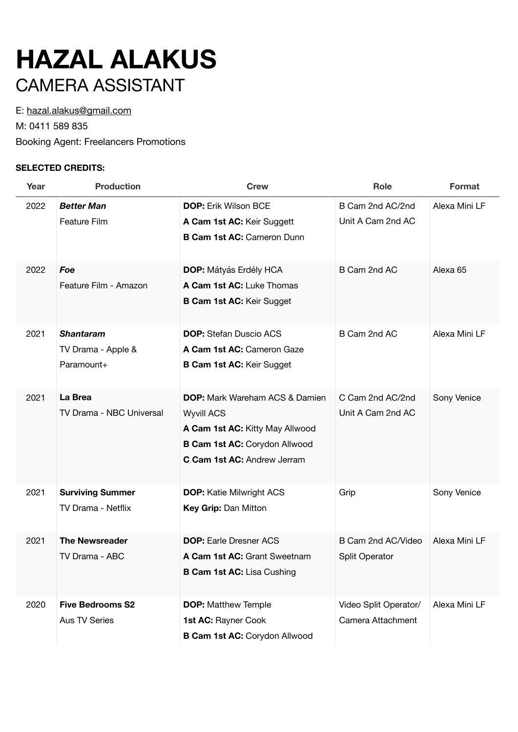## **HAZAL ALAKUS**  CAMERA ASSISTANT

E: [hazal.alakus@gmail.com](mailto:hazal.alakus@gmail.com)

M: 0411 589 835

Booking Agent: Freelancers Promotions

## **SELECTED CREDITS:**

| Year | <b>Production</b>        | <b>Crew</b>                           | Role                  | Format              |
|------|--------------------------|---------------------------------------|-----------------------|---------------------|
| 2022 | <b>Better Man</b>        | <b>DOP:</b> Erik Wilson BCE           | B Cam 2nd AC/2nd      | Alexa Mini LF       |
|      | Feature Film             | A Cam 1st AC: Keir Suggett            | Unit A Cam 2nd AC     |                     |
|      |                          | <b>B Cam 1st AC: Cameron Dunn</b>     |                       |                     |
| 2022 | Foe                      | <b>DOP:</b> Mátyás Erdély HCA         | B Cam 2nd AC          | Alexa <sub>65</sub> |
|      | Feature Film - Amazon    | A Cam 1st AC: Luke Thomas             |                       |                     |
|      |                          | <b>B Cam 1st AC: Keir Sugget</b>      |                       |                     |
| 2021 | <b>Shantaram</b>         | <b>DOP:</b> Stefan Duscio ACS         | B Cam 2nd AC          | Alexa Mini LF       |
|      | TV Drama - Apple &       | A Cam 1st AC: Cameron Gaze            |                       |                     |
|      | Paramount+               | <b>B Cam 1st AC: Keir Sugget</b>      |                       |                     |
| 2021 | La Brea                  | <b>DOP:</b> Mark Wareham ACS & Damien | C Cam 2nd AC/2nd      | Sony Venice         |
|      | TV Drama - NBC Universal | <b>Wyvill ACS</b>                     | Unit A Cam 2nd AC     |                     |
|      |                          | A Cam 1st AC: Kitty May Allwood       |                       |                     |
|      |                          | <b>B Cam 1st AC: Corydon Allwood</b>  |                       |                     |
|      |                          | C Cam 1st AC: Andrew Jerram           |                       |                     |
| 2021 | <b>Surviving Summer</b>  | <b>DOP:</b> Katie Milwright ACS       | Grip                  | Sony Venice         |
|      | TV Drama - Netflix       | Key Grip: Dan Mitton                  |                       |                     |
| 2021 | <b>The Newsreader</b>    | <b>DOP:</b> Earle Dresner ACS         | B Cam 2nd AC/Video    | Alexa Mini LF       |
|      | TV Drama - ABC           | A Cam 1st AC: Grant Sweetnam          | <b>Split Operator</b> |                     |
|      |                          | <b>B Cam 1st AC: Lisa Cushing</b>     |                       |                     |
| 2020 | <b>Five Bedrooms S2</b>  | <b>DOP:</b> Matthew Temple            | Video Split Operator/ | Alexa Mini LF       |
|      | <b>Aus TV Series</b>     | 1st AC: Rayner Cook                   | Camera Attachment     |                     |
|      |                          | B Cam 1st AC: Corydon Allwood         |                       |                     |